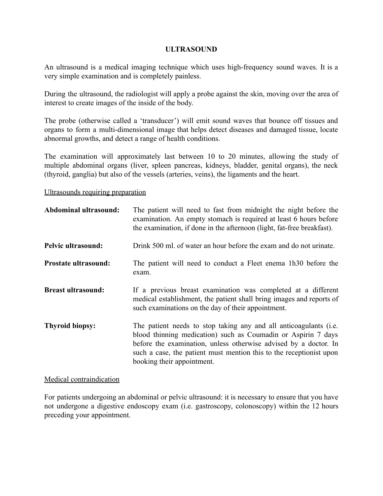### **ULTRASOUND**

An ultrasound is a medical imaging technique which uses high-frequency sound waves. It is a very simple examination and is completely painless.

During the ultrasound, the radiologist will apply a probe against the skin, moving over the area of interest to create images of the inside of the body.

The probe (otherwise called a 'transducer') will emit sound waves that bounce off tissues and organs to form a multi-dimensional image that helps detect diseases and damaged tissue, locate abnormal growths, and detect a range of health conditions.

The examination will approximately last between 10 to 20 minutes, allowing the study of multiple abdominal organs (liver, spleen pancreas, kidneys, bladder, genital organs), the neck (thyroid, ganglia) but also of the vessels (arteries, veins), the ligaments and the heart.

#### Ultrasounds requiring preparation

| Abdominal ultrasound:       | The patient will need to fast from midnight the night before the<br>examination. An empty stomach is required at least 6 hours before<br>the examination, if done in the afternoon (light, fat-free breakfast).                                                                                             |
|-----------------------------|-------------------------------------------------------------------------------------------------------------------------------------------------------------------------------------------------------------------------------------------------------------------------------------------------------------|
| Pelvic ultrasound:          | Drink 500 ml, of water an hour before the exam and do not urinate.                                                                                                                                                                                                                                          |
| <b>Prostate ultrasound:</b> | The patient will need to conduct a Fleet enema 1h30 before the<br>exam.                                                                                                                                                                                                                                     |
| <b>Breast ultrasound:</b>   | If a previous breast examination was completed at a different<br>medical establishment, the patient shall bring images and reports of<br>such examinations on the day of their appointment.                                                                                                                 |
| <b>Thyroid biopsy:</b>      | The patient needs to stop taking any and all anticoagulants (i.e.<br>blood thinning medication) such as Coumadin or Aspirin 7 days<br>before the examination, unless otherwise advised by a doctor. In<br>such a case, the patient must mention this to the receptionist upon<br>booking their appointment. |

### Medical contraindication

For patients undergoing an abdominal or pelvic ultrasound: it is necessary to ensure that you have not undergone a digestive endoscopy exam (i.e. gastroscopy, colonoscopy) within the 12 hours preceding your appointment.